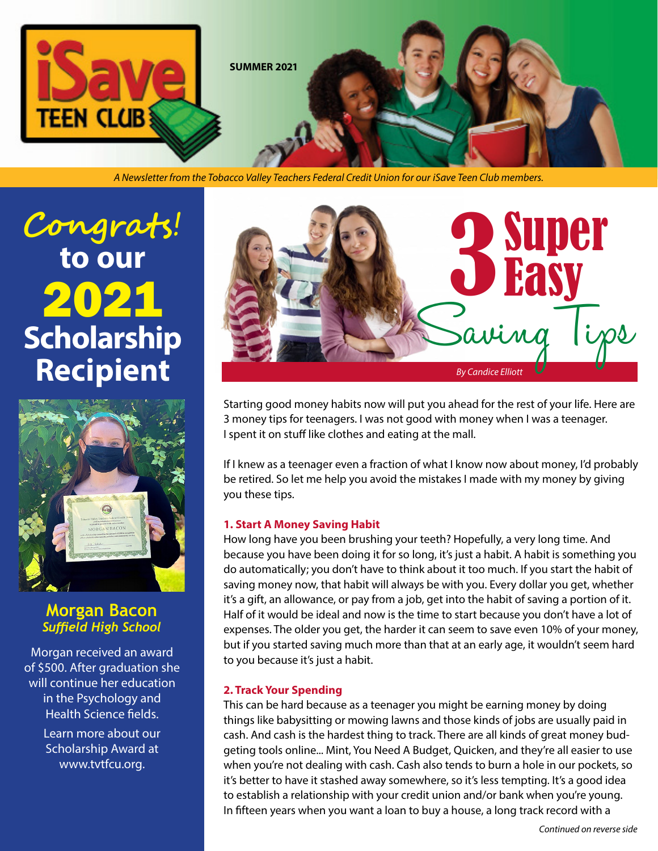

*A Newsletter from the Tobacco Valley Teachers Federal Credit Union for our iSave Teen Club members.*

# **Congrats**! **to our**  2021 **Scholarship Recipient**



**Morgan Bacon** *Suffield High School*

Morgan received an award of \$500. After graduation she will continue her education in the Psychology and Health Science fields.

> Learn more about our Scholarship Award at www.tvtfcu.org.



Starting good money habits now will put you ahead for the rest of your life. Here are 3 money tips for teenagers. I was not good with money when I was a teenager. I spent it on stuff like clothes and eating at the mall.

If I knew as a teenager even a fraction of what I know now about money, I'd probably be retired. So let me help you avoid the mistakes I made with my money by giving you these tips.

#### **1. Start A Money Saving Habit**

How long have you been brushing your teeth? Hopefully, a very long time. And because you have been doing it for so long, it's just a habit. A habit is something you do automatically; you don't have to think about it too much. If you start the habit of saving money now, that habit will always be with you. Every dollar you get, whether it's a gift, an allowance, or pay from a job, get into the habit of saving a portion of it. Half of it would be ideal and now is the time to start because you don't have a lot of expenses. The older you get, the harder it can seem to save even 10% of your money, but if you started saving much more than that at an early age, it wouldn't seem hard to you because it's just a habit.

#### **2. Track Your Spending**

This can be hard because as a teenager you might be earning money by doing things like babysitting or mowing lawns and those kinds of jobs are usually paid in cash. And cash is the hardest thing to track. There are all kinds of great money budgeting tools online... Mint, You Need A Budget, Quicken, and they're all easier to use when you're not dealing with cash. Cash also tends to burn a hole in our pockets, so it's better to have it stashed away somewhere, so it's less tempting. It's a good idea to establish a relationship with your credit union and/or bank when you're young. In fifteen years when you want a loan to buy a house, a long track record with a